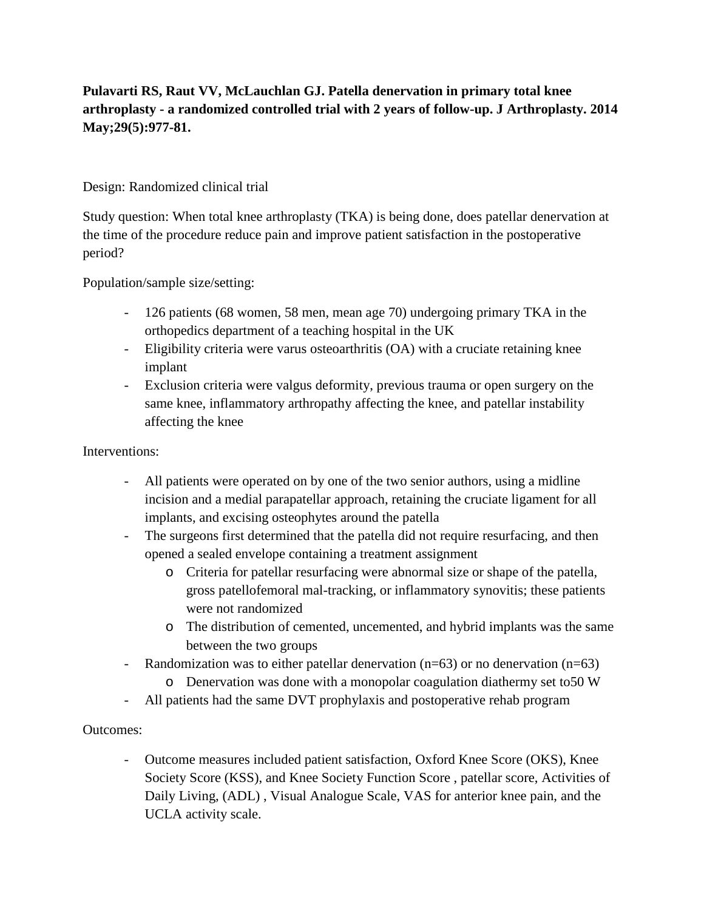## **Pulavarti RS, Raut VV, McLauchlan GJ. Patella denervation in primary total knee arthroplasty - a randomized controlled trial with 2 years of follow-up. J Arthroplasty. 2014 May;29(5):977-81.**

## Design: Randomized clinical trial

Study question: When total knee arthroplasty (TKA) is being done, does patellar denervation at the time of the procedure reduce pain and improve patient satisfaction in the postoperative period?

Population/sample size/setting:

- 126 patients (68 women, 58 men, mean age 70) undergoing primary TKA in the orthopedics department of a teaching hospital in the UK
- Eligibility criteria were varus osteoarthritis (OA) with a cruciate retaining knee implant
- Exclusion criteria were valgus deformity, previous trauma or open surgery on the same knee, inflammatory arthropathy affecting the knee, and patellar instability affecting the knee

Interventions:

- All patients were operated on by one of the two senior authors, using a midline incision and a medial parapatellar approach, retaining the cruciate ligament for all implants, and excising osteophytes around the patella
- The surgeons first determined that the patella did not require resurfacing, and then opened a sealed envelope containing a treatment assignment
	- o Criteria for patellar resurfacing were abnormal size or shape of the patella, gross patellofemoral mal-tracking, or inflammatory synovitis; these patients were not randomized
	- o The distribution of cemented, uncemented, and hybrid implants was the same between the two groups
- Randomization was to either patellar denervation (n=63) or no denervation (n=63)
	- o Denervation was done with a monopolar coagulation diathermy set to50 W
- All patients had the same DVT prophylaxis and postoperative rehab program

## Outcomes:

- Outcome measures included patient satisfaction, Oxford Knee Score (OKS), Knee Society Score (KSS), and Knee Society Function Score , patellar score, Activities of Daily Living, (ADL) , Visual Analogue Scale, VAS for anterior knee pain, and the UCLA activity scale.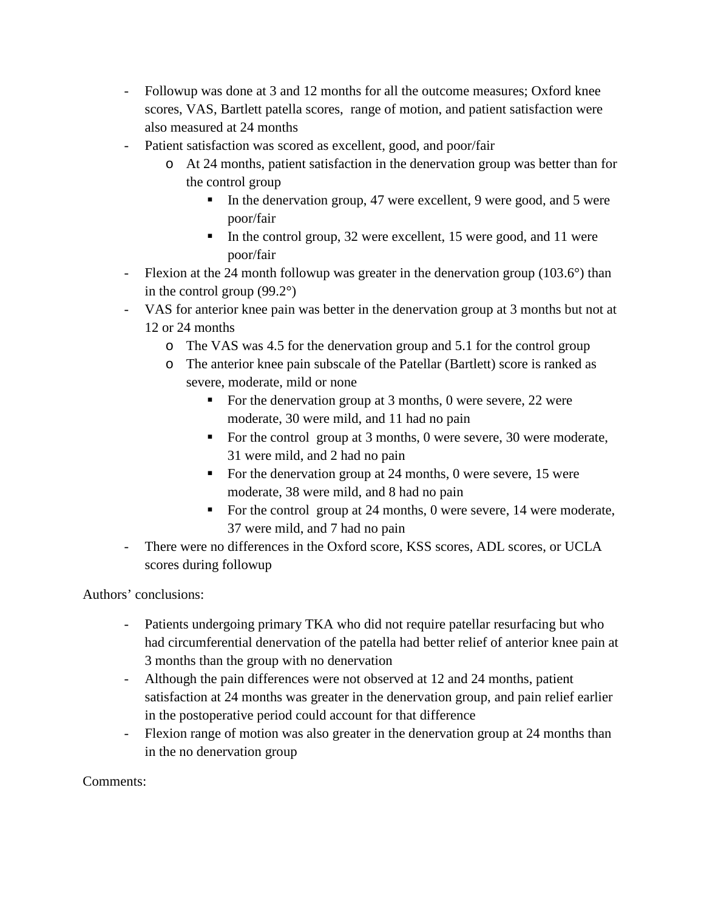- Followup was done at 3 and 12 months for all the outcome measures; Oxford knee scores, VAS, Bartlett patella scores, range of motion, and patient satisfaction were also measured at 24 months
- Patient satisfaction was scored as excellent, good, and poor/fair
	- o At 24 months, patient satisfaction in the denervation group was better than for the control group
		- In the denervation group, 47 were excellent, 9 were good, and 5 were poor/fair
		- In the control group, 32 were excellent, 15 were good, and 11 were poor/fair
- Flexion at the 24 month followup was greater in the denervation group (103.6°) than in the control group (99.2°)
- VAS for anterior knee pain was better in the denervation group at 3 months but not at 12 or 24 months
	- o The VAS was 4.5 for the denervation group and 5.1 for the control group
	- o The anterior knee pain subscale of the Patellar (Bartlett) score is ranked as severe, moderate, mild or none
		- For the denervation group at 3 months, 0 were severe, 22 were moderate, 30 were mild, and 11 had no pain
		- For the control group at 3 months, 0 were severe, 30 were moderate, 31 were mild, and 2 had no pain
		- For the denervation group at 24 months, 0 were severe, 15 were moderate, 38 were mild, and 8 had no pain
		- For the control group at 24 months, 0 were severe, 14 were moderate, 37 were mild, and 7 had no pain
- There were no differences in the Oxford score, KSS scores, ADL scores, or UCLA scores during followup

Authors' conclusions:

- Patients undergoing primary TKA who did not require patellar resurfacing but who had circumferential denervation of the patella had better relief of anterior knee pain at 3 months than the group with no denervation
- Although the pain differences were not observed at 12 and 24 months, patient satisfaction at 24 months was greater in the denervation group, and pain relief earlier in the postoperative period could account for that difference
- Flexion range of motion was also greater in the denervation group at 24 months than in the no denervation group

Comments: